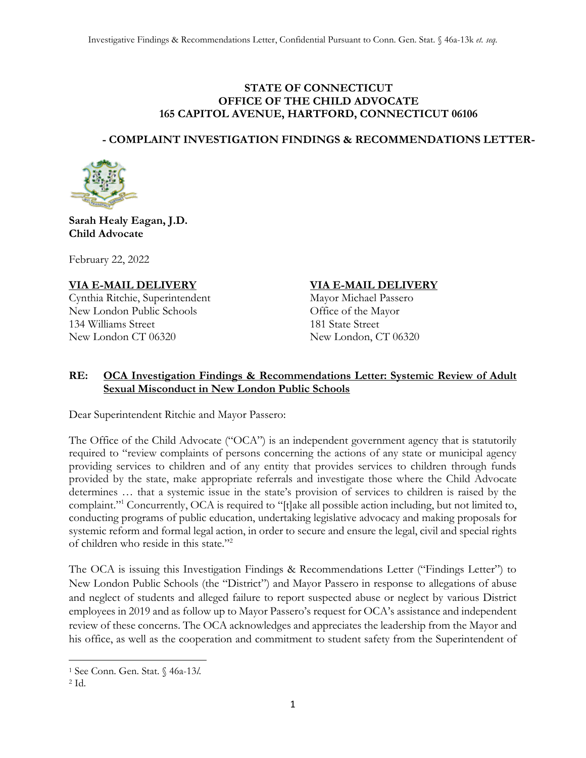## **STATE OF CONNECTICUT OFFICE OF THE CHILD ADVOCATE 165 CAPITOL AVENUE, HARTFORD, CONNECTICUT 06106**

# **- COMPLAINT INVESTIGATION FINDINGS & RECOMMENDATIONS LETTER-**



**Sarah Healy Eagan, J.D. Child Advocate**

February 22, 2022

**VIA E-MAIL DELIVERY VIA E-MAIL DELIVERY** Cynthia Ritchie, Superintendent New London Public Schools Office of the Mayor 134 Williams Street 181 State Street New London CT 06320 New London, CT 06320

## **RE: OCA Investigation Findings & Recommendations Letter: Systemic Review of Adult Sexual Misconduct in New London Public Schools**

Dear Superintendent Ritchie and Mayor Passero:

The Office of the Child Advocate ("OCA") is an independent government agency that is statutorily required to "review complaints of persons concerning the actions of any state or municipal agency providing services to children and of any entity that provides services to children through funds provided by the state, make appropriate referrals and investigate those where the Child Advocate determines … that a systemic issue in the state's provision of services to children is raised by the complaint."<sup>1</sup> Concurrently, OCA is required to "[t]ake all possible action including, but not limited to, conducting programs of public education, undertaking legislative advocacy and making proposals for systemic reform and formal legal action, in order to secure and ensure the legal, civil and special rights of children who reside in this state."<sup>2</sup>

The OCA is issuing this Investigation Findings & Recommendations Letter ("Findings Letter") to New London Public Schools (the "District") and Mayor Passero in response to allegations of abuse and neglect of students and alleged failure to report suspected abuse or neglect by various District employees in 2019 and as follow up to Mayor Passero's request for OCA's assistance and independent review of these concerns. The OCA acknowledges and appreciates the leadership from the Mayor and his office, as well as the cooperation and commitment to student safety from the Superintendent of

<sup>1</sup> See Conn. Gen. Stat. § 46a-13*l*.

<sup>2</sup> Id.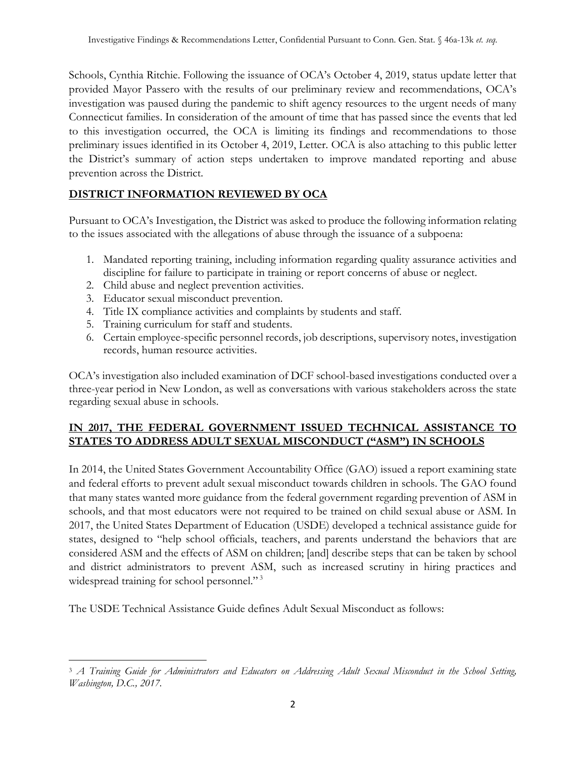Schools, Cynthia Ritchie. Following the issuance of OCA's October 4, 2019, status update letter that provided Mayor Passero with the results of our preliminary review and recommendations, OCA's investigation was paused during the pandemic to shift agency resources to the urgent needs of many Connecticut families. In consideration of the amount of time that has passed since the events that led to this investigation occurred, the OCA is limiting its findings and recommendations to those preliminary issues identified in its October 4, 2019, Letter. OCA is also attaching to this public letter the District's summary of action steps undertaken to improve mandated reporting and abuse prevention across the District.

# **DISTRICT INFORMATION REVIEWED BY OCA**

Pursuant to OCA's Investigation, the District was asked to produce the following information relating to the issues associated with the allegations of abuse through the issuance of a subpoena:

- 1. Mandated reporting training, including information regarding quality assurance activities and discipline for failure to participate in training or report concerns of abuse or neglect.
- 2. Child abuse and neglect prevention activities.
- 3. Educator sexual misconduct prevention.
- 4. Title IX compliance activities and complaints by students and staff.
- 5. Training curriculum for staff and students.
- 6. Certain employee-specific personnel records, job descriptions, supervisory notes, investigation records, human resource activities.

OCA's investigation also included examination of DCF school-based investigations conducted over a three-year period in New London, as well as conversations with various stakeholders across the state regarding sexual abuse in schools.

# **IN 2017, THE FEDERAL GOVERNMENT ISSUED TECHNICAL ASSISTANCE TO STATES TO ADDRESS ADULT SEXUAL MISCONDUCT ("ASM") IN SCHOOLS**

In 2014, the United States Government Accountability Office (GAO) issued a report examining state and federal efforts to prevent adult sexual misconduct towards children in schools. The GAO found that many states wanted more guidance from the federal government regarding prevention of ASM in schools, and that most educators were not required to be trained on child sexual abuse or ASM. In 2017, the United States Department of Education (USDE) developed a technical assistance guide for states, designed to "help school officials, teachers, and parents understand the behaviors that are considered ASM and the effects of ASM on children; [and] describe steps that can be taken by school and district administrators to prevent ASM, such as increased scrutiny in hiring practices and widespread training for school personnel."<sup>3</sup>

The USDE Technical Assistance Guide defines Adult Sexual Misconduct as follows:

<sup>3</sup> *A Training Guide for Administrators and Educators on Addressing Adult Sexual Misconduct in the School Setting, Washington, D.C., 2017.*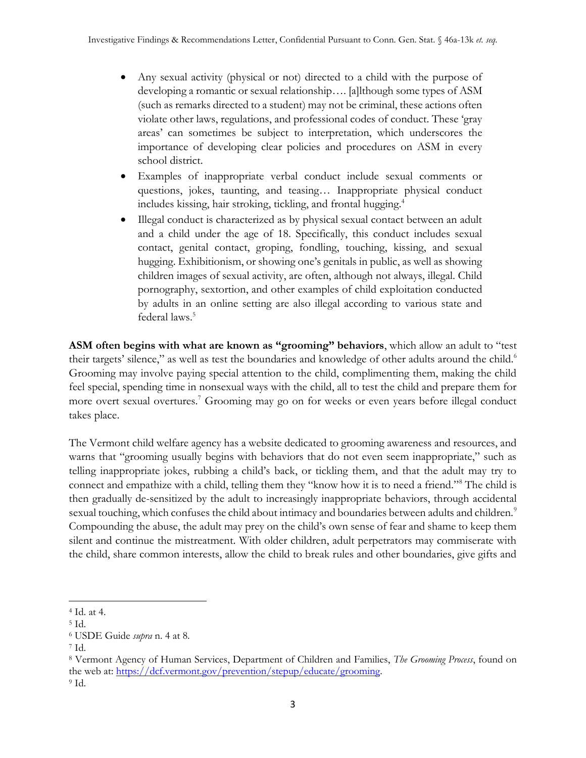- Any sexual activity (physical or not) directed to a child with the purpose of developing a romantic or sexual relationship…. [a]lthough some types of ASM (such as remarks directed to a student) may not be criminal, these actions often violate other laws, regulations, and professional codes of conduct. These 'gray areas' can sometimes be subject to interpretation, which underscores the importance of developing clear policies and procedures on ASM in every school district.
- Examples of inappropriate verbal conduct include sexual comments or questions, jokes, taunting, and teasing… Inappropriate physical conduct includes kissing, hair stroking, tickling, and frontal hugging.<sup>4</sup>
- Illegal conduct is characterized as by physical sexual contact between an adult and a child under the age of 18. Specifically, this conduct includes sexual contact, genital contact, groping, fondling, touching, kissing, and sexual hugging. Exhibitionism, or showing one's genitals in public, as well as showing children images of sexual activity, are often, although not always, illegal. Child pornography, sextortion, and other examples of child exploitation conducted by adults in an online setting are also illegal according to various state and federal laws.<sup>5</sup>

**ASM often begins with what are known as "grooming" behaviors**, which allow an adult to "test their targets' silence," as well as test the boundaries and knowledge of other adults around the child.<sup>6</sup> Grooming may involve paying special attention to the child, complimenting them, making the child feel special, spending time in nonsexual ways with the child, all to test the child and prepare them for more overt sexual overtures.<sup>7</sup> Grooming may go on for weeks or even years before illegal conduct takes place.

The Vermont child welfare agency has a website dedicated to grooming awareness and resources, and warns that "grooming usually begins with behaviors that do not even seem inappropriate," such as telling inappropriate jokes, rubbing a child's back, or tickling them, and that the adult may try to connect and empathize with a child, telling them they "know how it is to need a friend."<sup>8</sup> The child is then gradually de-sensitized by the adult to increasingly inappropriate behaviors, through accidental sexual touching, which confuses the child about intimacy and boundaries between adults and children.<sup>9</sup> Compounding the abuse, the adult may prey on the child's own sense of fear and shame to keep them silent and continue the mistreatment. With older children, adult perpetrators may commiserate with the child, share common interests, allow the child to break rules and other boundaries, give gifts and

<sup>4</sup> Id. at 4.

<sup>5</sup> Id.

<sup>6</sup> USDE Guide *supra* n. 4 at 8.

<sup>7</sup> Id.

<sup>8</sup> Vermont Agency of Human Services, Department of Children and Families, *The Grooming Process*, found on the web at: [https://dcf.vermont.gov/prevention/stepup/educate/grooming.](https://dcf.vermont.gov/prevention/stepup/educate/grooming) <sup>9</sup> Id.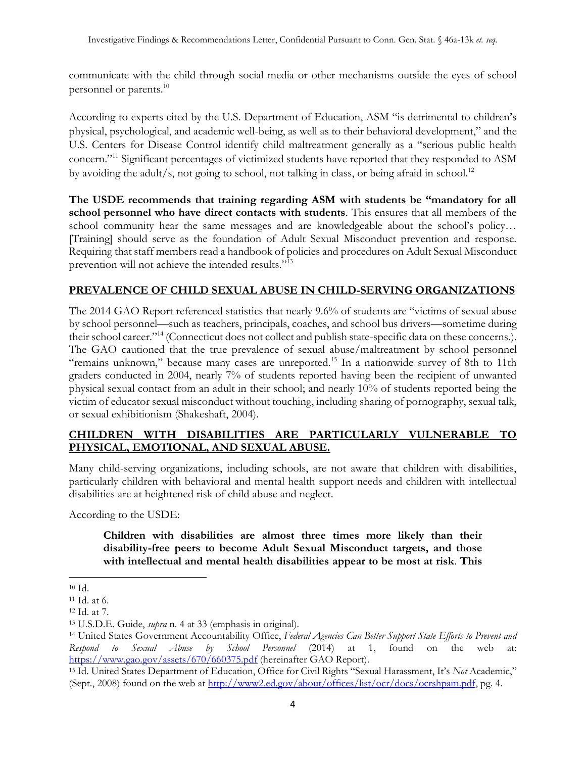communicate with the child through social media or other mechanisms outside the eyes of school personnel or parents.<sup>10</sup>

According to experts cited by the U.S. Department of Education, ASM "is detrimental to children's physical, psychological, and academic well-being, as well as to their behavioral development," and the U.S. Centers for Disease Control identify child maltreatment generally as a "serious public health concern."<sup>11</sup> Significant percentages of victimized students have reported that they responded to ASM by avoiding the adult/s, not going to school, not talking in class, or being afraid in school.<sup>12</sup>

**The USDE recommends that training regarding ASM with students be "mandatory for all school personnel who have direct contacts with students**. This ensures that all members of the school community hear the same messages and are knowledgeable about the school's policy… [Training] should serve as the foundation of Adult Sexual Misconduct prevention and response. Requiring that staff members read a handbook of policies and procedures on Adult Sexual Misconduct prevention will not achieve the intended results."<sup>13</sup>

# **PREVALENCE OF CHILD SEXUAL ABUSE IN CHILD-SERVING ORGANIZATIONS**

The 2014 GAO Report referenced statistics that nearly 9.6% of students are "victims of sexual abuse by school personnel—such as teachers, principals, coaches, and school bus drivers—sometime during their school career."<sup>14</sup> (Connecticut does not collect and publish state-specific data on these concerns.). The GAO cautioned that the true prevalence of sexual abuse/maltreatment by school personnel "remains unknown," because many cases are unreported.<sup>15</sup> In a nationwide survey of 8th to 11th graders conducted in 2004, nearly 7% of students reported having been the recipient of unwanted physical sexual contact from an adult in their school; and nearly 10% of students reported being the victim of educator sexual misconduct without touching, including sharing of pornography, sexual talk, or sexual exhibitionism (Shakeshaft, 2004).

# **CHILDREN WITH DISABILITIES ARE PARTICULARLY VULNERABLE TO PHYSICAL, EMOTIONAL, AND SEXUAL ABUSE.**

Many child-serving organizations, including schools, are not aware that children with disabilities, particularly children with behavioral and mental health support needs and children with intellectual disabilities are at heightened risk of child abuse and neglect.

According to the USDE:

**Children with disabilities are almost three times more likely than their disability-free peers to become Adult Sexual Misconduct targets, and those with intellectual and mental health disabilities appear to be most at risk**. **This** 

<sup>10</sup> Id.

<sup>11</sup> Id. at 6.

<sup>12</sup> Id. at 7.

<sup>13</sup> U.S.D.E. Guide, *supra* n. 4 at 33 (emphasis in original).

<sup>14</sup> United States Government Accountability Office, *Federal Agencies Can Better Support State Efforts to Prevent and Respond to Sexual Abuse by School Personnel* (2014) at 1, found on the web at: <https://www.gao.gov/assets/670/660375.pdf> (hereinafter GAO Report).

<sup>15</sup> Id. United States Department of Education, Office for Civil Rights "Sexual Harassment, It's *Not* Academic," (Sept., 2008) found on the web at [http://www2.ed.gov/about/offices/list/ocr/docs/ocrshpam.pdf,](http://www2.ed.gov/about/offices/list/ocr/docs/ocrshpam.pdf) pg. 4.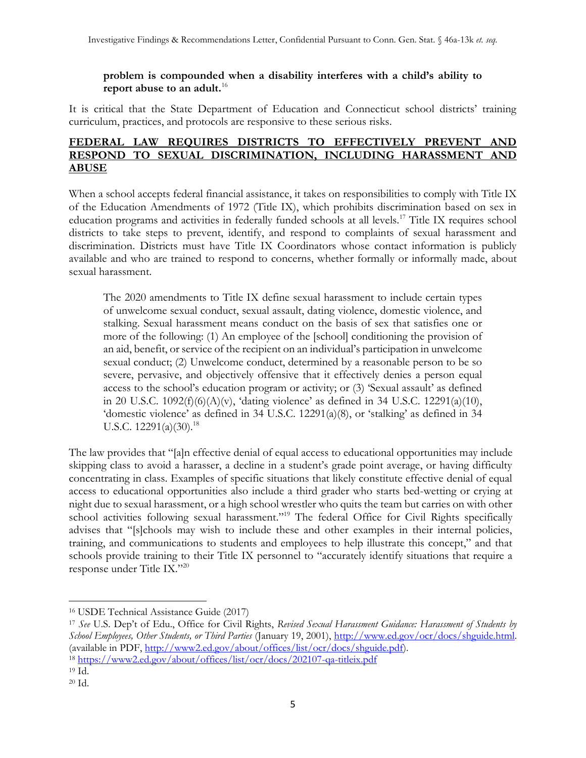## **problem is compounded when a disability interferes with a child's ability to report abuse to an adult.**<sup>16</sup>

It is critical that the State Department of Education and Connecticut school districts' training curriculum, practices, and protocols are responsive to these serious risks.

## **FEDERAL LAW REQUIRES DISTRICTS TO EFFECTIVELY PREVENT AND RESPOND TO SEXUAL DISCRIMINATION, INCLUDING HARASSMENT AND ABUSE**

When a school accepts federal financial assistance, it takes on responsibilities to comply with Title IX of the Education Amendments of 1972 (Title IX), which prohibits discrimination based on sex in education programs and activities in federally funded schools at all levels.<sup>17</sup> Title IX requires school districts to take steps to prevent, identify, and respond to complaints of sexual harassment and discrimination. Districts must have Title IX Coordinators whose contact information is publicly available and who are trained to respond to concerns, whether formally or informally made, about sexual harassment.

The 2020 amendments to Title IX define sexual harassment to include certain types of unwelcome sexual conduct, sexual assault, dating violence, domestic violence, and stalking. Sexual harassment means conduct on the basis of sex that satisfies one or more of the following: (1) An employee of the [school] conditioning the provision of an aid, benefit, or service of the recipient on an individual's participation in unwelcome sexual conduct; (2) Unwelcome conduct, determined by a reasonable person to be so severe, pervasive, and objectively offensive that it effectively denies a person equal access to the school's education program or activity; or (3) 'Sexual assault' as defined in 20 U.S.C.  $1092(f)(6)(A)(v)$ , 'dating violence' as defined in 34 U.S.C.  $12291(a)(10)$ , 'domestic violence' as defined in 34 U.S.C. 12291(a)(8), or 'stalking' as defined in 34 U.S.C.  $12291(a)(30).^{18}$ 

The law provides that "[a]n effective denial of equal access to educational opportunities may include skipping class to avoid a harasser, a decline in a student's grade point average, or having difficulty concentrating in class. Examples of specific situations that likely constitute effective denial of equal access to educational opportunities also include a third grader who starts bed-wetting or crying at night due to sexual harassment, or a high school wrestler who quits the team but carries on with other school activities following sexual harassment."<sup>19</sup> The federal Office for Civil Rights specifically advises that "[s]chools may wish to include these and other examples in their internal policies, training, and communications to students and employees to help illustrate this concept," and that schools provide training to their Title IX personnel to "accurately identify situations that require a response under Title IX."<sup>20</sup>

<sup>17</sup> *See* U.S. Dep't of Edu., Office for Civil Rights, *Revised Sexual Harassment Guidance: Harassment of Students by School Employees, Other Students, or Third Parties* (January 19, 2001), [http://www.ed.gov/ocr/docs/shguide.html.](http://www.ed.gov/ocr/docs/shguide.html) (available in PDF, [http://www2.ed.gov/about/offices/list/ocr/docs/shguide.pdf\)](http://www2.ed.gov/about/offices/list/ocr/docs/shguide.pdf). <sup>18</sup> <https://www2.ed.gov/about/offices/list/ocr/docs/202107-qa-titleix.pdf>

<sup>16</sup> USDE Technical Assistance Guide (2017)

<sup>19</sup> Id.

<sup>20</sup> Id.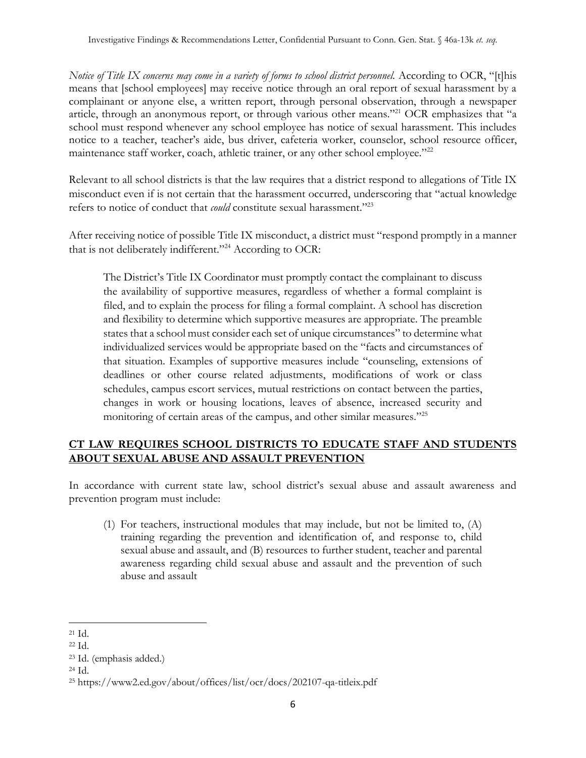*Notice of Title IX concerns may come in a variety of forms to school district personnel.* According to OCR, "[t]his means that [school employees] may receive notice through an oral report of sexual harassment by a complainant or anyone else, a written report, through personal observation, through a newspaper article, through an anonymous report, or through various other means."<sup>21</sup> OCR emphasizes that "a school must respond whenever any school employee has notice of sexual harassment. This includes notice to a teacher, teacher's aide, bus driver, cafeteria worker, counselor, school resource officer, maintenance staff worker, coach, athletic trainer, or any other school employee."<sup>22</sup>

Relevant to all school districts is that the law requires that a district respond to allegations of Title IX misconduct even if is not certain that the harassment occurred, underscoring that "actual knowledge refers to notice of conduct that *could* constitute sexual harassment."<sup>23</sup>

After receiving notice of possible Title IX misconduct, a district must "respond promptly in a manner that is not deliberately indifferent." <sup>24</sup> According to OCR:

The District's Title IX Coordinator must promptly contact the complainant to discuss the availability of supportive measures, regardless of whether a formal complaint is filed, and to explain the process for filing a formal complaint. A school has discretion and flexibility to determine which supportive measures are appropriate. The preamble states that a school must consider each set of unique circumstances" to determine what individualized services would be appropriate based on the "facts and circumstances of that situation. Examples of supportive measures include "counseling, extensions of deadlines or other course related adjustments, modifications of work or class schedules, campus escort services, mutual restrictions on contact between the parties, changes in work or housing locations, leaves of absence, increased security and monitoring of certain areas of the campus, and other similar measures."<sup>25</sup>

# **CT LAW REQUIRES SCHOOL DISTRICTS TO EDUCATE STAFF AND STUDENTS ABOUT SEXUAL ABUSE AND ASSAULT PREVENTION**

In accordance with current state law, school district's sexual abuse and assault awareness and prevention program must include:

(1) For teachers, instructional modules that may include, but not be limited to, (A) training regarding the prevention and identification of, and response to, child sexual abuse and assault, and (B) resources to further student, teacher and parental awareness regarding child sexual abuse and assault and the prevention of such abuse and assault

<sup>21</sup> Id.

<sup>22</sup> Id.

<sup>23</sup> Id. (emphasis added.)

<sup>24</sup> Id.

<sup>25</sup> https://www2.ed.gov/about/offices/list/ocr/docs/202107-qa-titleix.pdf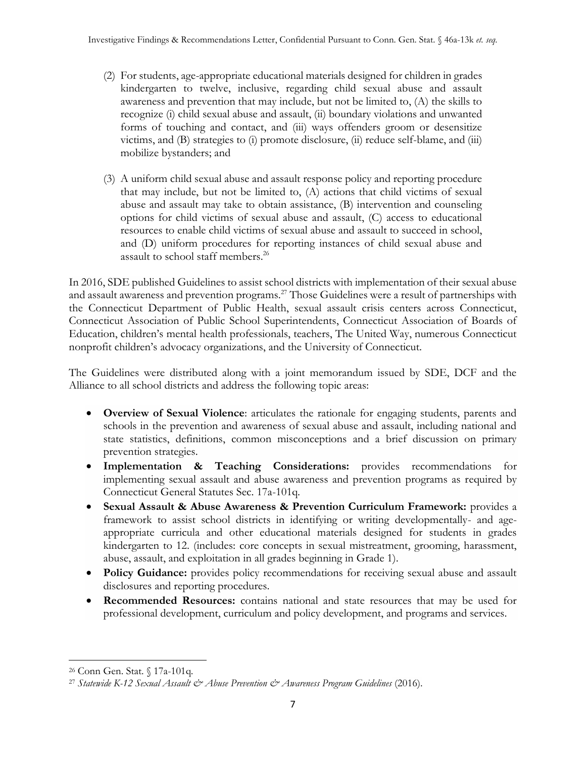- (2) For students, age-appropriate educational materials designed for children in grades kindergarten to twelve, inclusive, regarding child sexual abuse and assault awareness and prevention that may include, but not be limited to, (A) the skills to recognize (i) child sexual abuse and assault, (ii) boundary violations and unwanted forms of touching and contact, and (iii) ways offenders groom or desensitize victims, and (B) strategies to (i) promote disclosure, (ii) reduce self-blame, and (iii) mobilize bystanders; and
- (3) A uniform child sexual abuse and assault response policy and reporting procedure that may include, but not be limited to, (A) actions that child victims of sexual abuse and assault may take to obtain assistance, (B) intervention and counseling options for child victims of sexual abuse and assault, (C) access to educational resources to enable child victims of sexual abuse and assault to succeed in school, and (D) uniform procedures for reporting instances of child sexual abuse and assault to school staff members.<sup>26</sup>

In 2016, SDE published Guidelines to assist school districts with implementation of their sexual abuse and assault awareness and prevention programs.<sup>27</sup> Those Guidelines were a result of partnerships with the Connecticut Department of Public Health, sexual assault crisis centers across Connecticut, Connecticut Association of Public School Superintendents, Connecticut Association of Boards of Education, children's mental health professionals, teachers, The United Way, numerous Connecticut nonprofit children's advocacy organizations, and the University of Connecticut.

The Guidelines were distributed along with a joint memorandum issued by SDE, DCF and the Alliance to all school districts and address the following topic areas:

- **Overview of Sexual Violence**: articulates the rationale for engaging students, parents and schools in the prevention and awareness of sexual abuse and assault, including national and state statistics, definitions, common misconceptions and a brief discussion on primary prevention strategies.
- **Implementation & Teaching Considerations:** provides recommendations for implementing sexual assault and abuse awareness and prevention programs as required by Connecticut General Statutes Sec. 17a-101q.
- **Sexual Assault & Abuse Awareness & Prevention Curriculum Framework:** provides a framework to assist school districts in identifying or writing developmentally- and ageappropriate curricula and other educational materials designed for students in grades kindergarten to 12. (includes: core concepts in sexual mistreatment, grooming, harassment, abuse, assault, and exploitation in all grades beginning in Grade 1).
- **Policy Guidance:** provides policy recommendations for receiving sexual abuse and assault disclosures and reporting procedures.
- **Recommended Resources:** contains national and state resources that may be used for professional development, curriculum and policy development, and programs and services.

<sup>26</sup> Conn Gen. Stat. § 17a-101q.

<sup>27</sup> *[Statewide K-12 Sexual Assault & Abuse Prevention & Awareness Program Guidelines](https://portal.ct.gov/SDE/Publications/Statewide-K12--Sexual-Assault-Abuse--Prevention-Awareness--Program-Guidelines)* (2016).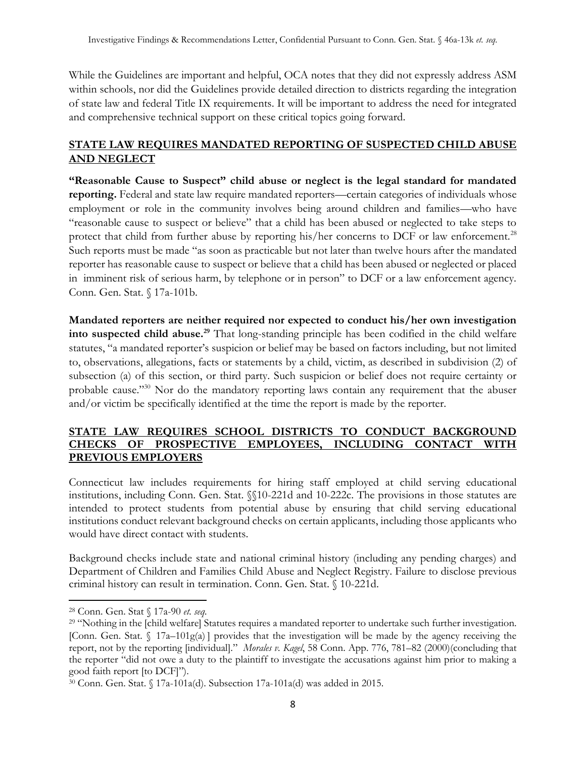While the Guidelines are important and helpful, OCA notes that they did not expressly address ASM within schools, nor did the Guidelines provide detailed direction to districts regarding the integration of state law and federal Title IX requirements. It will be important to address the need for integrated and comprehensive technical support on these critical topics going forward.

# **STATE LAW REQUIRES MANDATED REPORTING OF SUSPECTED CHILD ABUSE AND NEGLECT**

**"Reasonable Cause to Suspect" child abuse or neglect is the legal standard for mandated reporting.** Federal and state law require mandated reporters—certain categories of individuals whose employment or role in the community involves being around children and families—who have "reasonable cause to suspect or believe" that a child has been abused or neglected to take steps to protect that child from further abuse by reporting his/her concerns to DCF or law enforcement.<sup>28</sup> Such reports must be made "as soon as practicable but not later than twelve hours after the mandated reporter has reasonable cause to suspect or believe that a child has been abused or neglected or placed in imminent risk of serious harm, by telephone or in person" to DCF or a law enforcement agency. Conn. Gen. Stat. § 17a-101b.

**Mandated reporters are neither required nor expected to conduct his/her own investigation into suspected child abuse.<sup>29</sup>** That long-standing principle has been codified in the child welfare statutes, "a mandated reporter's suspicion or belief may be based on factors including, but not limited to, observations, allegations, facts or statements by a child, victim, as described in subdivision (2) of subsection (a) of this section, or third party. Such suspicion or belief does not require certainty or probable cause."<sup>30</sup> Nor do the mandatory reporting laws contain any requirement that the abuser and/or victim be specifically identified at the time the report is made by the reporter.

## **STATE LAW REQUIRES SCHOOL DISTRICTS TO CONDUCT BACKGROUND CHECKS OF PROSPECTIVE EMPLOYEES, INCLUDING CONTACT WITH PREVIOUS EMPLOYERS**

Connecticut law includes requirements for hiring staff employed at child serving educational institutions, including Conn. Gen. Stat. §§10-221d and 10-222c. The provisions in those statutes are intended to protect students from potential abuse by ensuring that child serving educational institutions conduct relevant background checks on certain applicants, including those applicants who would have direct contact with students.

Background checks include state and national criminal history (including any pending charges) and Department of Children and Families Child Abuse and Neglect Registry. Failure to disclose previous criminal history can result in termination. Conn. Gen. Stat. § 10-221d.

<sup>28</sup> Conn. Gen. Stat § 17a-90 *et. seq.*

<sup>&</sup>lt;sup>29</sup> "Nothing in the [child welfare] Statutes requires a mandated reporter to undertake such further investigation. [Conn. Gen. Stat.  $\int 17a-101g(a)$ ] provides that the investigation will be made by the agency receiving the report, not by the reporting [individual]." *Morales v. Kagel*, 58 Conn. App. 776, 781–82 (2000)(concluding that the reporter "did not owe a duty to the plaintiff to investigate the accusations against him prior to making a good faith report [to DCF]").

<sup>30</sup> Conn. Gen. Stat. § 17a-101a(d). Subsection 17a-101a(d) was added in 2015.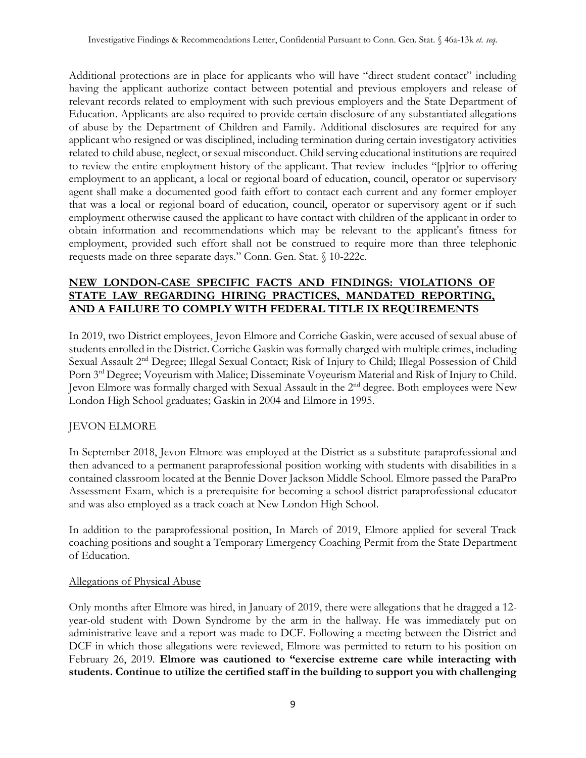Additional protections are in place for applicants who will have "direct student contact" including having the applicant authorize contact between potential and previous employers and release of relevant records related to employment with such previous employers and the State Department of Education. Applicants are also required to provide certain disclosure of any substantiated allegations of abuse by the Department of Children and Family. Additional disclosures are required for any applicant who resigned or was disciplined, including termination during certain investigatory activities related to child abuse, neglect, or sexual misconduct. Child serving educational institutions are required to review the entire employment history of the applicant. That review includes "[p]rior to offering employment to an applicant, a local or regional board of education, council, operator or supervisory agent shall make a documented good faith effort to contact each current and any former employer that was a local or regional board of education, council, operator or supervisory agent or if such employment otherwise caused the applicant to have contact with children of the applicant in order to obtain information and recommendations which may be relevant to the applicant's fitness for employment, provided such effort shall not be construed to require more than three telephonic requests made on three separate days." Conn. Gen. Stat. § 10-222c.

# **NEW LONDON-CASE SPECIFIC FACTS AND FINDINGS: VIOLATIONS OF STATE LAW REGARDING HIRING PRACTICES, MANDATED REPORTING, AND A FAILURE TO COMPLY WITH FEDERAL TITLE IX REQUIREMENTS**

In 2019, two District employees, Jevon Elmore and Corriche Gaskin, were accused of sexual abuse of students enrolled in the District. Corriche Gaskin was formally charged with multiple crimes, including Sexual Assault 2<sup>nd</sup> Degree; Illegal Sexual Contact; Risk of Injury to Child; Illegal Possession of Child Porn 3rd Degree; Voyeurism with Malice; Disseminate Voyeurism Material and Risk of Injury to Child. Jevon Elmore was formally charged with Sexual Assault in the 2nd degree. Both employees were New London High School graduates; Gaskin in 2004 and Elmore in 1995.

# JEVON ELMORE

In September 2018, Jevon Elmore was employed at the District as a substitute paraprofessional and then advanced to a permanent paraprofessional position working with students with disabilities in a contained classroom located at the Bennie Dover Jackson Middle School. Elmore passed the ParaPro Assessment Exam, which is a prerequisite for becoming a school district paraprofessional educator and was also employed as a track coach at New London High School.

In addition to the paraprofessional position, In March of 2019, Elmore applied for several Track coaching positions and sought a Temporary Emergency Coaching Permit from the State Department of Education.

## Allegations of Physical Abuse

Only months after Elmore was hired, in January of 2019, there were allegations that he dragged a 12 year-old student with Down Syndrome by the arm in the hallway. He was immediately put on administrative leave and a report was made to DCF. Following a meeting between the District and DCF in which those allegations were reviewed, Elmore was permitted to return to his position on February 26, 2019. **Elmore was cautioned to "exercise extreme care while interacting with students. Continue to utilize the certified staff in the building to support you with challenging**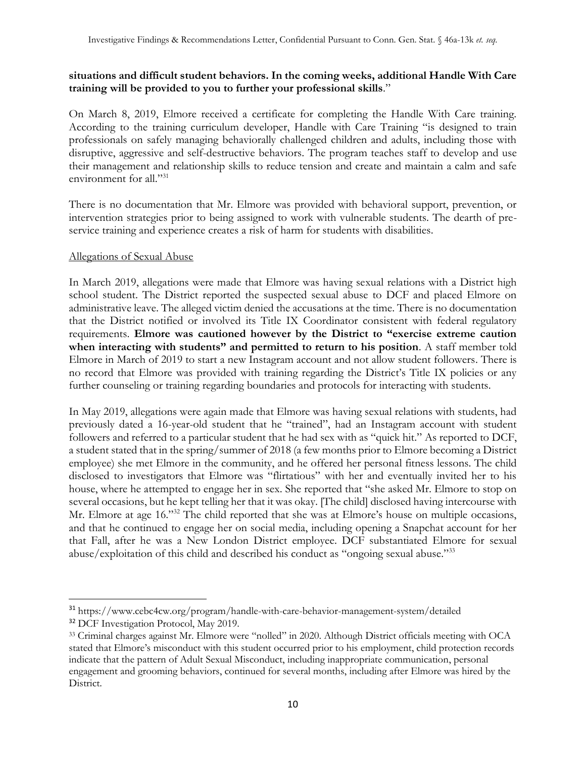## **situations and difficult student behaviors. In the coming weeks, additional Handle With Care training will be provided to you to further your professional skills**."

On March 8, 2019, Elmore received a certificate for completing the Handle With Care training. According to the training curriculum developer, Handle with Care Training "is designed to train professionals on safely managing behaviorally challenged children and adults, including those with disruptive, aggressive and self-destructive behaviors. The program teaches staff to develop and use their management and relationship skills to reduce tension and create and maintain a calm and safe environment for all."<sup>31</sup>

There is no documentation that Mr. Elmore was provided with behavioral support, prevention, or intervention strategies prior to being assigned to work with vulnerable students. The dearth of preservice training and experience creates a risk of harm for students with disabilities.

### Allegations of Sexual Abuse

In March 2019, allegations were made that Elmore was having sexual relations with a District high school student. The District reported the suspected sexual abuse to DCF and placed Elmore on administrative leave. The alleged victim denied the accusations at the time. There is no documentation that the District notified or involved its Title IX Coordinator consistent with federal regulatory requirements. **Elmore was cautioned however by the District to "exercise extreme caution when interacting with students" and permitted to return to his position**. A staff member told Elmore in March of 2019 to start a new Instagram account and not allow student followers. There is no record that Elmore was provided with training regarding the District's Title IX policies or any further counseling or training regarding boundaries and protocols for interacting with students.

In May 2019, allegations were again made that Elmore was having sexual relations with students, had previously dated a 16-year-old student that he "trained", had an Instagram account with student followers and referred to a particular student that he had sex with as "quick hit." As reported to DCF, a student stated that in the spring/summer of 2018 (a few months prior to Elmore becoming a District employee) she met Elmore in the community, and he offered her personal fitness lessons. The child disclosed to investigators that Elmore was "flirtatious" with her and eventually invited her to his house, where he attempted to engage her in sex. She reported that "she asked Mr. Elmore to stop on several occasions, but he kept telling her that it was okay. [The child] disclosed having intercourse with Mr. Elmore at age 16."<sup>32</sup> The child reported that she was at Elmore's house on multiple occasions, and that he continued to engage her on social media, including opening a Snapchat account for her that Fall, after he was a New London District employee. DCF substantiated Elmore for sexual abuse/exploitation of this child and described his conduct as "ongoing sexual abuse."<sup>33</sup>

<sup>31</sup> https://www.cebc4cw.org/program/handle-with-care-behavior-management-system/detailed

<sup>&</sup>lt;sup>32</sup> DCF Investigation Protocol, May 2019.

<sup>33</sup> Criminal charges against Mr. Elmore were "nolled" in 2020. Although District officials meeting with OCA stated that Elmore's misconduct with this student occurred prior to his employment, child protection records indicate that the pattern of Adult Sexual Misconduct, including inappropriate communication, personal engagement and grooming behaviors, continued for several months, including after Elmore was hired by the District.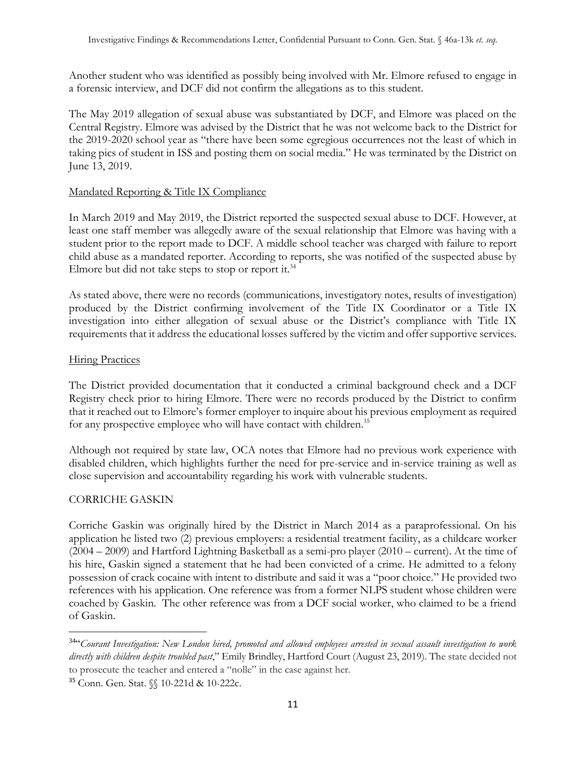Another student who was identified as possibly being involved with Mr. Elmore refused to engage in a forensic interview, and DCF did not confirm the allegations as to this student.

The May 2019 allegation of sexual abuse was substantiated by DCF, and Elmore was placed on the Central Registry. Elmore was advised by the District that he was not welcome back to the District for the 2019-2020 school year as "there have been some egregious occurrences not the least of which in taking pics of student in ISS and posting them on social media." He was terminated by the District on June 13, 2019.

## Mandated Reporting & Title IX Compliance

In March 2019 and May 2019, the District reported the suspected sexual abuse to DCF. However, at least one staff member was allegedly aware of the sexual relationship that Elmore was having with a student prior to the report made to DCF. A middle school teacher was charged with failure to report child abuse as a mandated reporter. According to reports, she was notified of the suspected abuse by Elmore but did not take steps to stop or report it.<sup>34</sup>

As stated above, there were no records (communications, investigatory notes, results of investigation) produced by the District confirming involvement of the Title IX Coordinator or a Title IX investigation into either allegation of sexual abuse or the District's compliance with Title IX requirements that it address the educational losses suffered by the victim and offer supportive services.

### **Hiring Practices**

The District provided documentation that it conducted a criminal background check and a DCF Registry check prior to hiring Elmore. There were no records produced by the District to confirm that it reached out to Elmore's former employer to inquire about his previous employment as required for any prospective employee who will have contact with children.<sup>35</sup>

Although not required by state law, OCA notes that Elmore had no previous work experience with disabled children, which highlights further the need for pre-service and in-service training as well as close supervision and accountability regarding his work with vulnerable students.

## CORRICHE GASKIN

Corriche Gaskin was originally hired by the District in March 2014 as a paraprofessional. On his application he listed two (2) previous employers: a residential treatment facility, as a childcare worker (2004 – 2009) and Hartford Lightning Basketball as a semi-pro player (2010 – current). At the time of his hire, Gaskin signed a statement that he had been convicted of a crime. He admitted to a felony possession of crack cocaine with intent to distribute and said it was a "poor choice." He provided two references with his application. One reference was from a former NLPS student whose children were coached by Gaskin. The other reference was from a DCF social worker, who claimed to be a friend of Gaskin.

<sup>34</sup> "*Courant Investigation: New London hired, promoted and allowed employees arrested in sexual assault investigation to work directly with children despite troubled past*," Emily Brindley, Hartford Court (August 23, 2019). The state decided not to prosecute the teacher and entered a "nolle" in the case against her.

<sup>35</sup> Conn. Gen. Stat. §§ 10-221d & 10-222c.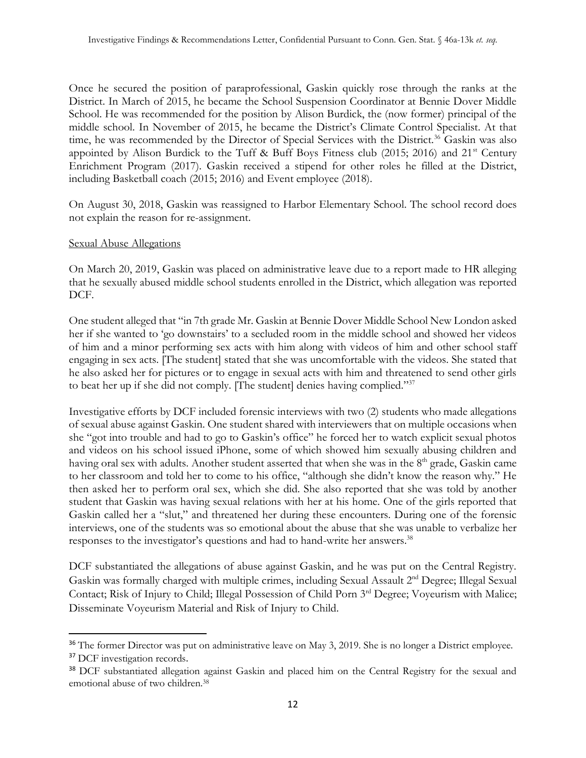Once he secured the position of paraprofessional, Gaskin quickly rose through the ranks at the District. In March of 2015, he became the School Suspension Coordinator at Bennie Dover Middle School. He was recommended for the position by Alison Burdick, the (now former) principal of the middle school. In November of 2015, he became the District's Climate Control Specialist. At that time, he was recommended by the Director of Special Services with the District.<sup>36</sup> Gaskin was also appointed by Alison Burdick to the Tuff & Buff Boys Fitness club (2015; 2016) and  $21<sup>st</sup>$  Century Enrichment Program (2017). Gaskin received a stipend for other roles he filled at the District, including Basketball coach (2015; 2016) and Event employee (2018).

On August 30, 2018, Gaskin was reassigned to Harbor Elementary School. The school record does not explain the reason for re-assignment.

### Sexual Abuse Allegations

On March 20, 2019, Gaskin was placed on administrative leave due to a report made to HR alleging that he sexually abused middle school students enrolled in the District, which allegation was reported DCF.

One student alleged that "in 7th grade Mr. Gaskin at Bennie Dover Middle School New London asked her if she wanted to 'go downstairs' to a secluded room in the middle school and showed her videos of him and a minor performing sex acts with him along with videos of him and other school staff engaging in sex acts. [The student] stated that she was uncomfortable with the videos. She stated that he also asked her for pictures or to engage in sexual acts with him and threatened to send other girls to beat her up if she did not comply. [The student] denies having complied."<sup>37</sup>

Investigative efforts by DCF included forensic interviews with two (2) students who made allegations of sexual abuse against Gaskin. One student shared with interviewers that on multiple occasions when she "got into trouble and had to go to Gaskin's office" he forced her to watch explicit sexual photos and videos on his school issued iPhone, some of which showed him sexually abusing children and having oral sex with adults. Another student asserted that when she was in the 8<sup>th</sup> grade, Gaskin came to her classroom and told her to come to his office, "although she didn't know the reason why." He then asked her to perform oral sex, which she did. She also reported that she was told by another student that Gaskin was having sexual relations with her at his home. One of the girls reported that Gaskin called her a "slut," and threatened her during these encounters. During one of the forensic interviews, one of the students was so emotional about the abuse that she was unable to verbalize her responses to the investigator's questions and had to hand-write her answers.<sup>38</sup>

DCF substantiated the allegations of abuse against Gaskin, and he was put on the Central Registry. Gaskin was formally charged with multiple crimes, including Sexual Assault 2nd Degree; Illegal Sexual Contact; Risk of Injury to Child; Illegal Possession of Child Porn 3<sup>rd</sup> Degree; Voyeurism with Malice; Disseminate Voyeurism Material and Risk of Injury to Child.

<sup>&</sup>lt;sup>36</sup> The former Director was put on administrative leave on May 3, 2019. She is no longer a District employee.

<sup>&</sup>lt;sup>37</sup> DCF investigation records.

<sup>38</sup> DCF substantiated allegation against Gaskin and placed him on the Central Registry for the sexual and emotional abuse of two children.38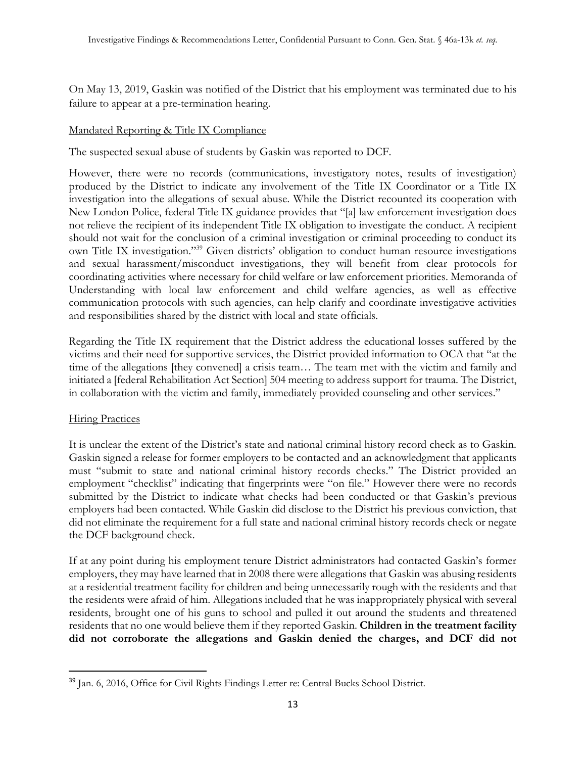On May 13, 2019, Gaskin was notified of the District that his employment was terminated due to his failure to appear at a pre-termination hearing.

## Mandated Reporting & Title IX Compliance

The suspected sexual abuse of students by Gaskin was reported to DCF.

However, there were no records (communications, investigatory notes, results of investigation) produced by the District to indicate any involvement of the Title IX Coordinator or a Title IX investigation into the allegations of sexual abuse. While the District recounted its cooperation with New London Police, federal Title IX guidance provides that "[a] law enforcement investigation does not relieve the recipient of its independent Title IX obligation to investigate the conduct. A recipient should not wait for the conclusion of a criminal investigation or criminal proceeding to conduct its own Title IX investigation."<sup>39</sup> Given districts' obligation to conduct human resource investigations and sexual harassment/misconduct investigations, they will benefit from clear protocols for coordinating activities where necessary for child welfare or law enforcement priorities. Memoranda of Understanding with local law enforcement and child welfare agencies, as well as effective communication protocols with such agencies, can help clarify and coordinate investigative activities and responsibilities shared by the district with local and state officials.

Regarding the Title IX requirement that the District address the educational losses suffered by the victims and their need for supportive services, the District provided information to OCA that "at the time of the allegations [they convened] a crisis team… The team met with the victim and family and initiated a [federal Rehabilitation Act Section] 504 meeting to address support for trauma. The District, in collaboration with the victim and family, immediately provided counseling and other services."

## **Hiring Practices**

It is unclear the extent of the District's state and national criminal history record check as to Gaskin. Gaskin signed a release for former employers to be contacted and an acknowledgment that applicants must "submit to state and national criminal history records checks." The District provided an employment "checklist" indicating that fingerprints were "on file." However there were no records submitted by the District to indicate what checks had been conducted or that Gaskin's previous employers had been contacted. While Gaskin did disclose to the District his previous conviction, that did not eliminate the requirement for a full state and national criminal history records check or negate the DCF background check.

If at any point during his employment tenure District administrators had contacted Gaskin's former employers, they may have learned that in 2008 there were allegations that Gaskin was abusing residents at a residential treatment facility for children and being unnecessarily rough with the residents and that the residents were afraid of him. Allegations included that he was inappropriately physical with several residents, brought one of his guns to school and pulled it out around the students and threatened residents that no one would believe them if they reported Gaskin. **Children in the treatment facility did not corroborate the allegations and Gaskin denied the charges, and DCF did not** 

<sup>39</sup> Jan. 6, 2016, Office for Civil Rights Findings Letter re: Central Bucks School District.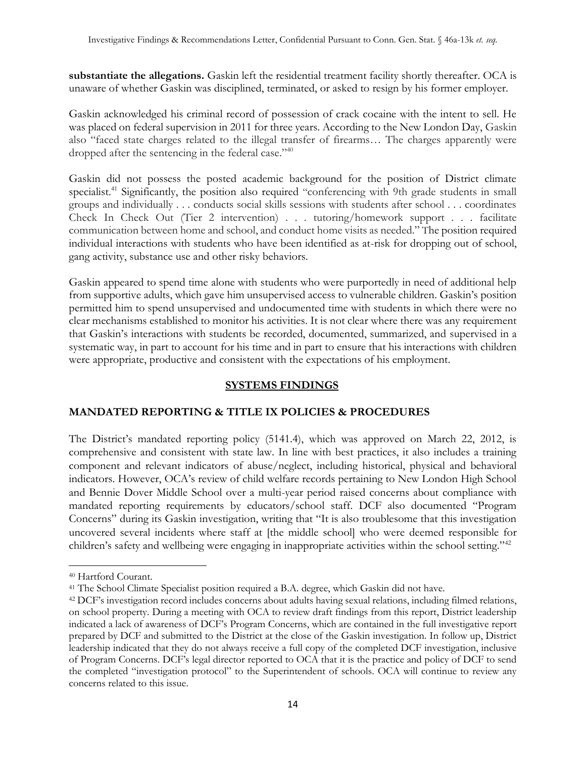**substantiate the allegations.** Gaskin left the residential treatment facility shortly thereafter. OCA is unaware of whether Gaskin was disciplined, terminated, or asked to resign by his former employer.

Gaskin acknowledged his criminal record of possession of crack cocaine with the intent to sell. He was placed on federal supervision in 2011 for three years. According to the New London Day, Gaskin also "faced state charges related to the illegal transfer of firearms… The charges apparently were dropped after the sentencing in the federal case."<sup>40</sup>

Gaskin did not possess the posted academic background for the position of District climate specialist.<sup>41</sup> Significantly, the position also required "conferencing with 9th grade students in small groups and individually . . . conducts social skills sessions with students after school . . . coordinates Check In Check Out (Tier 2 intervention) . . . tutoring/homework support . . . facilitate communication between home and school, and conduct home visits as needed." The position required individual interactions with students who have been identified as at-risk for dropping out of school, gang activity, substance use and other risky behaviors.

Gaskin appeared to spend time alone with students who were purportedly in need of additional help from supportive adults, which gave him unsupervised access to vulnerable children. Gaskin's position permitted him to spend unsupervised and undocumented time with students in which there were no clear mechanisms established to monitor his activities. It is not clear where there was any requirement that Gaskin's interactions with students be recorded, documented, summarized, and supervised in a systematic way, in part to account for his time and in part to ensure that his interactions with children were appropriate, productive and consistent with the expectations of his employment.

## **SYSTEMS FINDINGS**

## **MANDATED REPORTING & TITLE IX POLICIES & PROCEDURES**

The District's mandated reporting policy (5141.4), which was approved on March 22, 2012, is comprehensive and consistent with state law. In line with best practices, it also includes a training component and relevant indicators of abuse/neglect, including historical, physical and behavioral indicators. However, OCA's review of child welfare records pertaining to New London High School and Bennie Dover Middle School over a multi-year period raised concerns about compliance with mandated reporting requirements by educators/school staff. DCF also documented "Program Concerns" during its Gaskin investigation, writing that "It is also troublesome that this investigation uncovered several incidents where staff at [the middle school] who were deemed responsible for children's safety and wellbeing were engaging in inappropriate activities within the school setting."<sup>42</sup>

<sup>40</sup> Hartford Courant.

<sup>41</sup> The School Climate Specialist position required a B.A. degree, which Gaskin did not have.

<sup>42</sup> DCF's investigation record includes concerns about adults having sexual relations, including filmed relations, on school property. During a meeting with OCA to review draft findings from this report, District leadership indicated a lack of awareness of DCF's Program Concerns, which are contained in the full investigative report prepared by DCF and submitted to the District at the close of the Gaskin investigation. In follow up, District leadership indicated that they do not always receive a full copy of the completed DCF investigation, inclusive of Program Concerns. DCF's legal director reported to OCA that it is the practice and policy of DCF to send the completed "investigation protocol" to the Superintendent of schools. OCA will continue to review any concerns related to this issue.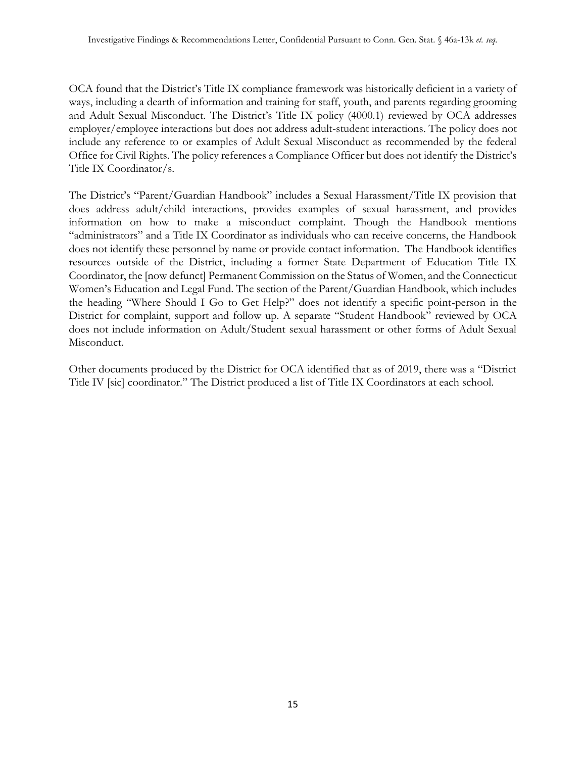OCA found that the District's Title IX compliance framework was historically deficient in a variety of ways, including a dearth of information and training for staff, youth, and parents regarding grooming and Adult Sexual Misconduct. The District's Title IX policy (4000.1) reviewed by OCA addresses employer/employee interactions but does not address adult-student interactions. The policy does not include any reference to or examples of Adult Sexual Misconduct as recommended by the federal Office for Civil Rights. The policy references a Compliance Officer but does not identify the District's Title IX Coordinator/s.

The District's "Parent/Guardian Handbook" includes a Sexual Harassment/Title IX provision that does address adult/child interactions, provides examples of sexual harassment, and provides information on how to make a misconduct complaint. Though the Handbook mentions "administrators" and a Title IX Coordinator as individuals who can receive concerns, the Handbook does not identify these personnel by name or provide contact information. The Handbook identifies resources outside of the District, including a former State Department of Education Title IX Coordinator, the [now defunct] Permanent Commission on the Status of Women, and the Connecticut Women's Education and Legal Fund. The section of the Parent/Guardian Handbook, which includes the heading "Where Should I Go to Get Help?" does not identify a specific point-person in the District for complaint, support and follow up. A separate "Student Handbook" reviewed by OCA does not include information on Adult/Student sexual harassment or other forms of Adult Sexual Misconduct.

Other documents produced by the District for OCA identified that as of 2019, there was a "District Title IV [sic] coordinator." The District produced a list of Title IX Coordinators at each school.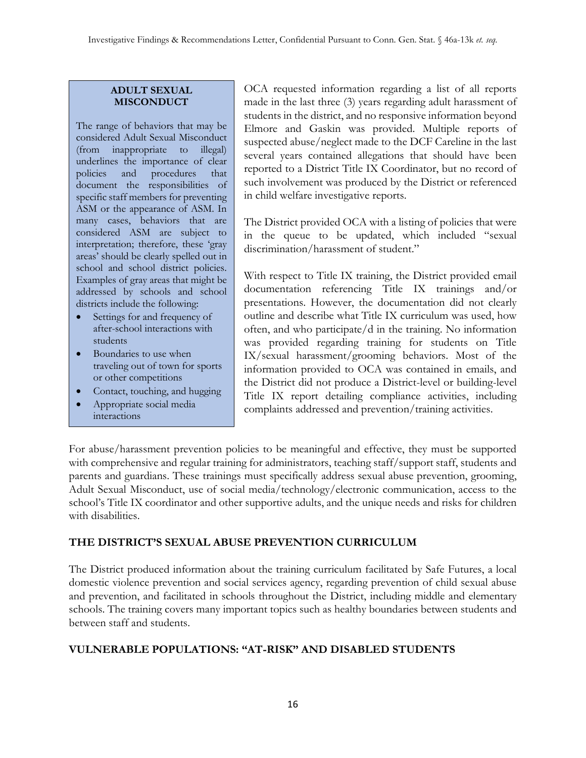### **ADULT SEXUAL MISCONDUCT**

The range of behaviors that may be considered Adult Sexual Misconduct (from inappropriate to illegal) underlines the importance of clear policies and procedures that document the responsibilities of specific staff members for preventing ASM or the appearance of ASM. In many cases, behaviors that are considered ASM are subject to interpretation; therefore, these 'gray areas' should be clearly spelled out in school and school district policies. Examples of gray areas that might be addressed by schools and school districts include the following:

- Settings for and frequency of after-school interactions with students
- Boundaries to use when traveling out of town for sports or other competitions
- Contact, touching, and hugging
- Appropriate social media interactions

• Personal cards, notes, and

OCA requested information regarding a list of all reports made in the last three (3) years regarding adult harassment of students in the district, and no responsive information beyond Elmore and Gaskin was provided. Multiple reports of suspected abuse/neglect made to the DCF Careline in the last several years contained allegations that should have been reported to a District Title IX Coordinator, but no record of such involvement was produced by the District or referenced in child welfare investigative reports.

The District provided OCA with a listing of policies that were in the queue to be updated, which included "sexual discrimination/harassment of student."

With respect to Title IX training, the District provided email documentation referencing Title IX trainings and/or presentations. However, the documentation did not clearly outline and describe what Title IX curriculum was used, how often, and who participate/d in the training. No information was provided regarding training for students on Title IX/sexual harassment/grooming behaviors. Most of the information provided to OCA was contained in emails, and the District did not produce a District-level or building-level Title IX report detailing compliance activities, including complaints addressed and prevention/training activities.

For abuse/harassment prevention policies to be meaningful and effective, they must be supported with comprehensive and regular training for administrators, teaching staff/support staff, students and parents and guardians. These trainings must specifically address sexual abuse prevention, grooming, parents and guardians. These trainings must specifically address sexual abuse prevention, grooming,<br>Adult Sexual Misconduct, use of social media/technology/electronic communication, access to the school's Title IX coordinator and other supportive adults, and the unique needs and risks for children with disabilities.  $\frac{1}{1}$  in  $\frac{1}{1}$  interaction before, use of so

# **THE DISTRICT'S SEXUAL ABUSE PREVENTION CURRICULUM**

The District produced information about the training curriculum facilitated by Safe Futures, a local domestic violence prevention and social services agency, regarding prevention of child sexual abuse and prevention, and facilitated in schools throughout the District, including middle and elementary schools. The training covers many important topics such as healthy boundaries between students and between staff and students.

## **VULNERABLE POPULATIONS: "AT-RISK" AND DISABLED STUDENTS**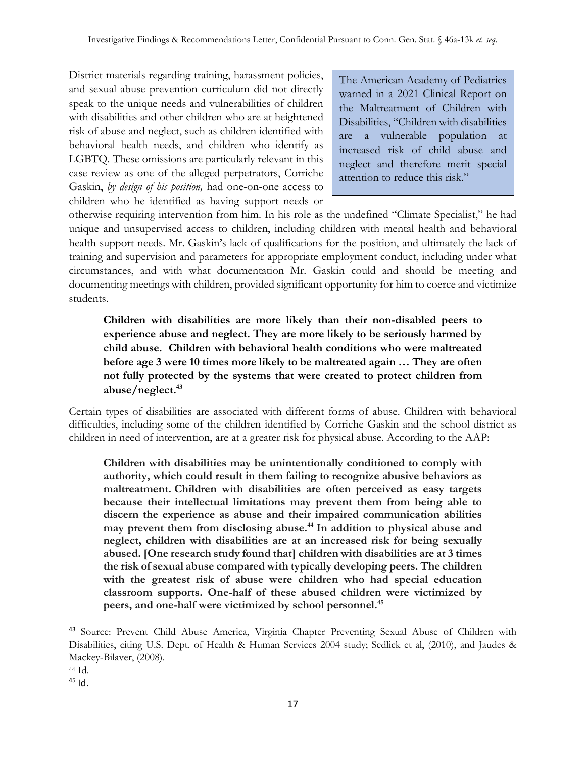District materials regarding training, harassment policies, and sexual abuse prevention curriculum did not directly speak to the unique needs and vulnerabilities of children with disabilities and other children who are at heightened risk of abuse and neglect, such as children identified with behavioral health needs, and children who identify as LGBTQ. These omissions are particularly relevant in this case review as one of the alleged perpetrators, Corriche Gaskin, *by design of his position,* had one-on-one access to children who he identified as having support needs or

The American Academy of Pediatrics warned in a 2021 Clinical Report on the Maltreatment of Children with Disabilities, "Children with disabilities are a vulnerable population at increased risk of child abuse and neglect and therefore merit special attention to reduce this risk."

otherwise requiring intervention from him. In his role as the undefined "Climate Specialist," he had unique and unsupervised access to children, including children with mental health and behavioral health support needs. Mr. Gaskin's lack of qualifications for the position, and ultimately the lack of training and supervision and parameters for appropriate employment conduct, including under what circumstances, and with what documentation Mr. Gaskin could and should be meeting and documenting meetings with children, provided significant opportunity for him to coerce and victimize students.

**Children with disabilities are more likely than their non-disabled peers to experience abuse and neglect. They are more likely to be seriously harmed by child abuse. Children with behavioral health conditions who were maltreated before age 3 were 10 times more likely to be maltreated again … They are often not fully protected by the systems that were created to protect children from abuse/neglect.<sup>43</sup>**

Certain types of disabilities are associated with different forms of abuse. Children with behavioral difficulties, including some of the children identified by Corriche Gaskin and the school district as children in need of intervention, are at a greater risk for physical abuse. According to the AAP:

**Children with disabilities may be unintentionally conditioned to comply with authority, which could result in them failing to recognize abusive behaviors as maltreatment. Children with disabilities are often perceived as easy targets because their intellectual limitations may prevent them from being able to discern the experience as abuse and their impaired communication abilities may prevent them from disclosing abuse.<sup>44</sup> In addition to physical abuse and neglect, children with disabilities are at an increased risk for being sexually abused. [One research study found that] children with disabilities are at 3 times the risk of sexual abuse compared with typically developing peers. The children with the greatest risk of abuse were children who had special education classroom supports. One-half of these abused children were victimized by peers, and one-half were victimized by school personnel.<sup>45</sup>**

<sup>43</sup> Source: Prevent Child Abuse America, Virginia Chapter Preventing Sexual Abuse of Children with Disabilities, citing U.S. Dept. of Health & Human Services 2004 study; Sedlick et al, (2010), and Jaudes & Mackey-Bilaver, (2008).

<sup>44</sup> Id.

 $45$  Id.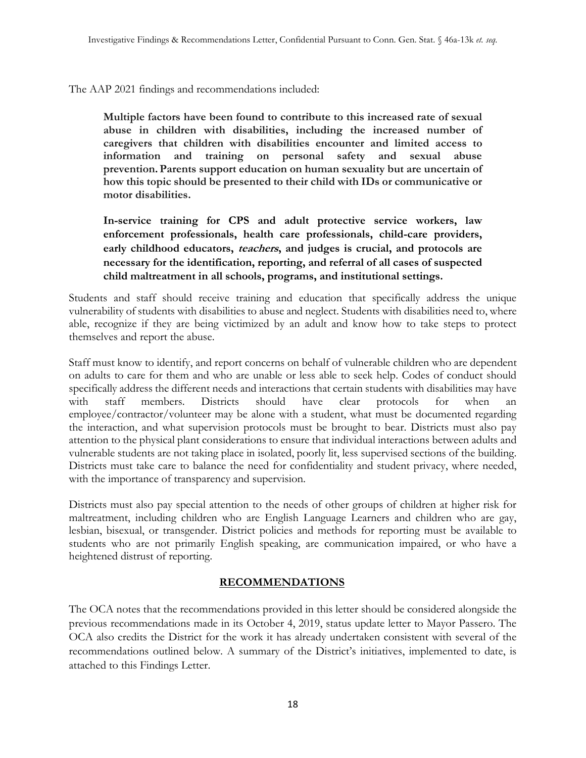The AAP 2021 findings and recommendations included:

**Multiple factors have been found to contribute to this increased rate of sexual abuse in children with disabilities, including the increased number of caregivers that children with disabilities encounter and limited access to information and training on personal safety and sexual abuse prevention.Parents support education on human sexuality but are uncertain of how this topic should be presented to their child with IDs or communicative or motor disabilities.**

**In-service training for CPS and adult protective service workers, law enforcement professionals, health care professionals, child-care providers, early childhood educators, teachers, and judges is crucial, and protocols are necessary for the identification, reporting, and referral of all cases of suspected child maltreatment in all schools, programs, and institutional settings.** 

Students and staff should receive training and education that specifically address the unique vulnerability of students with disabilities to abuse and neglect. Students with disabilities need to, where able, recognize if they are being victimized by an adult and know how to take steps to protect themselves and report the abuse.

Staff must know to identify, and report concerns on behalf of vulnerable children who are dependent on adults to care for them and who are unable or less able to seek help. Codes of conduct should specifically address the different needs and interactions that certain students with disabilities may have with staff members. Districts should have clear protocols for when an employee/contractor/volunteer may be alone with a student, what must be documented regarding the interaction, and what supervision protocols must be brought to bear. Districts must also pay attention to the physical plant considerations to ensure that individual interactions between adults and vulnerable students are not taking place in isolated, poorly lit, less supervised sections of the building. Districts must take care to balance the need for confidentiality and student privacy, where needed, with the importance of transparency and supervision.

Districts must also pay special attention to the needs of other groups of children at higher risk for maltreatment, including children who are English Language Learners and children who are gay, lesbian, bisexual, or transgender. District policies and methods for reporting must be available to students who are not primarily English speaking, are communication impaired, or who have a heightened distrust of reporting.

## **RECOMMENDATIONS**

The OCA notes that the recommendations provided in this letter should be considered alongside the previous recommendations made in its October 4, 2019, status update letter to Mayor Passero. The OCA also credits the District for the work it has already undertaken consistent with several of the recommendations outlined below. A summary of the District's initiatives, implemented to date, is attached to this Findings Letter.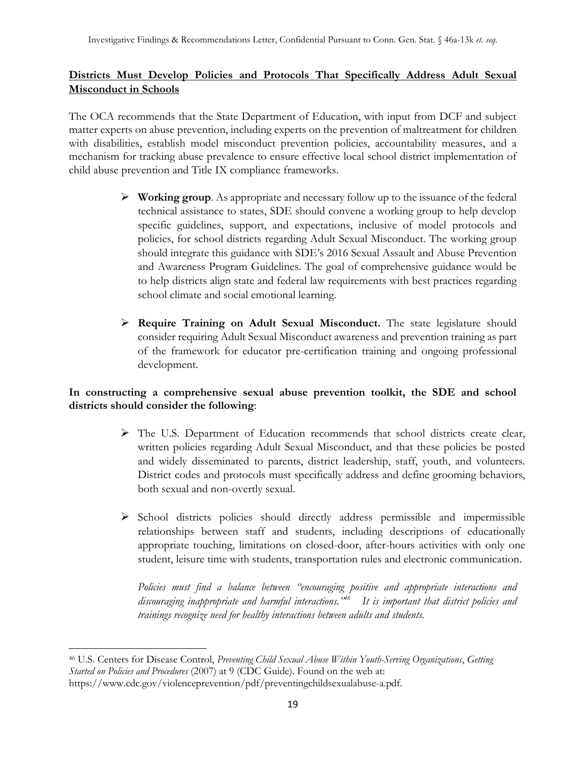# **Districts Must Develop Policies and Protocols That Specifically Address Adult Sexual Misconduct in Schools**

The OCA recommends that the State Department of Education, with input from DCF and subject matter experts on abuse prevention, including experts on the prevention of maltreatment for children with disabilities, establish model misconduct prevention policies, accountability measures, and a mechanism for tracking abuse prevalence to ensure effective local school district implementation of child abuse prevention and Title IX compliance frameworks.

- ➢ **Working group**. As appropriate and necessary follow up to the issuance of the federal technical assistance to states, SDE should convene a working group to help develop specific guidelines, support, and expectations, inclusive of model protocols and policies, for school districts regarding Adult Sexual Misconduct. The working group should integrate this guidance with SDE's 2016 Sexual Assault and Abuse Prevention and Awareness Program Guidelines. The goal of comprehensive guidance would be to help districts align state and federal law requirements with best practices regarding school climate and social emotional learning.
- ➢ **Require Training on Adult Sexual Misconduct.** The state legislature should consider requiring Adult Sexual Misconduct awareness and prevention training as part of the framework for educator pre-certification training and ongoing professional development.

# **In constructing a comprehensive sexual abuse prevention toolkit, the SDE and school districts should consider the following**:

- ➢ The U.S. Department of Education recommends that school districts create clear, written policies regarding Adult Sexual Misconduct, and that these policies be posted and widely disseminated to parents, district leadership, staff, youth, and volunteers. District codes and protocols must specifically address and define grooming behaviors, both sexual and non-overtly sexual.
- ➢ School districts policies should directly address permissible and impermissible relationships between staff and students, including descriptions of educationally appropriate touching, limitations on closed-door, after-hours activities with only one student, leisure time with students, transportation rules and electronic communication.

*Policies must find a balance between "encouraging positive and appropriate interactions and discouraging inappropriate and harmful interactions."<sup>46</sup> It is important that district policies and trainings recognize need for healthy interactions between adults and students.* 

<sup>46</sup> U.S. Centers for Disease Control, *Preventing Child Sexual Abuse Within Youth-Serving Organizations*, *Getting Started on Policies and Procedures* (2007) at 9 (CDC Guide). Found on the web at:

https://www.cdc.gov/violenceprevention/pdf/preventingchildsexualabuse-a.pdf.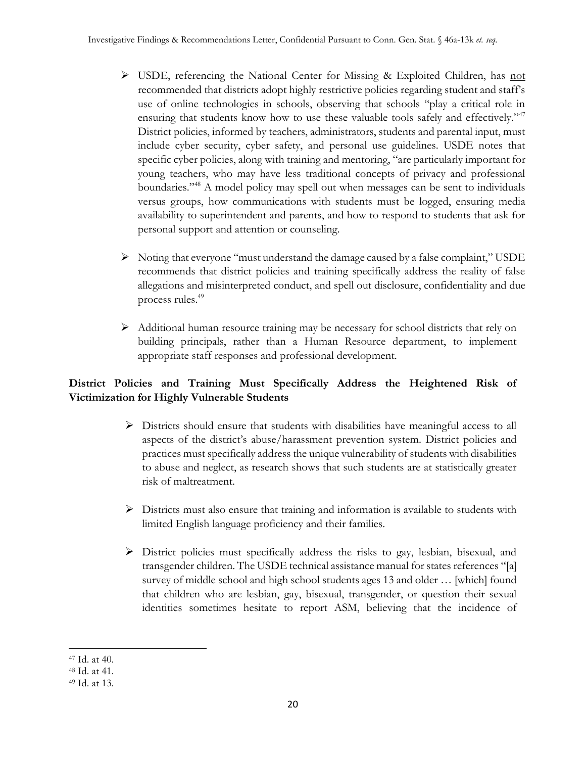- $\triangleright$  USDE, referencing the National Center for Missing & Exploited Children, has not recommended that districts adopt highly restrictive policies regarding student and staff's use of online technologies in schools, observing that schools "play a critical role in ensuring that students know how to use these valuable tools safely and effectively."<sup>47</sup> District policies, informed by teachers, administrators, students and parental input, must include cyber security, cyber safety, and personal use guidelines. USDE notes that specific cyber policies, along with training and mentoring, "are particularly important for young teachers, who may have less traditional concepts of privacy and professional boundaries."<sup>48</sup> A model policy may spell out when messages can be sent to individuals versus groups, how communications with students must be logged, ensuring media availability to superintendent and parents, and how to respond to students that ask for personal support and attention or counseling.
- ➢ Noting that everyone "must understand the damage caused by a false complaint," USDE recommends that district policies and training specifically address the reality of false allegations and misinterpreted conduct, and spell out disclosure, confidentiality and due process rules.<sup>49</sup>
- ➢ Additional human resource training may be necessary for school districts that rely on building principals, rather than a Human Resource department, to implement appropriate staff responses and professional development.

# **District Policies and Training Must Specifically Address the Heightened Risk of Victimization for Highly Vulnerable Students**

- ➢ Districts should ensure that students with disabilities have meaningful access to all aspects of the district's abuse/harassment prevention system. District policies and practices must specifically address the unique vulnerability of students with disabilities to abuse and neglect, as research shows that such students are at statistically greater risk of maltreatment.
- $\triangleright$  Districts must also ensure that training and information is available to students with limited English language proficiency and their families.
- ➢ District policies must specifically address the risks to gay, lesbian, bisexual, and transgender children. The USDE technical assistance manual for states references "[a] survey of middle school and high school students ages 13 and older … [which] found that children who are lesbian, gay, bisexual, transgender, or question their sexual identities sometimes hesitate to report ASM, believing that the incidence of

<sup>47</sup> Id. at 40.

<sup>48</sup> Id. at 41.

<sup>49</sup> Id. at 13.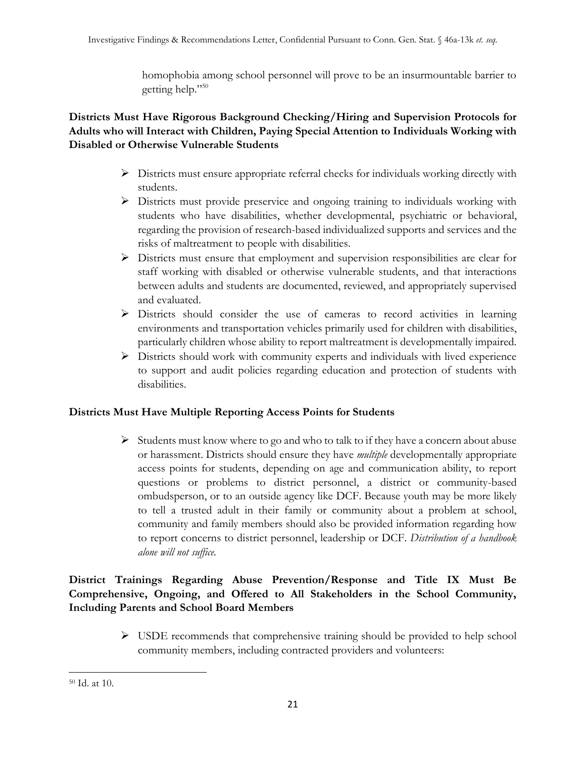homophobia among school personnel will prove to be an insurmountable barrier to getting help."<sup>50</sup>

# **Districts Must Have Rigorous Background Checking/Hiring and Supervision Protocols for Adults who will Interact with Children, Paying Special Attention to Individuals Working with Disabled or Otherwise Vulnerable Students**

- ➢ Districts must ensure appropriate referral checks for individuals working directly with students.
- $\triangleright$  Districts must provide preservice and ongoing training to individuals working with students who have disabilities, whether developmental, psychiatric or behavioral, regarding the provision of research-based individualized supports and services and the risks of maltreatment to people with disabilities.
- ➢ Districts must ensure that employment and supervision responsibilities are clear for staff working with disabled or otherwise vulnerable students, and that interactions between adults and students are documented, reviewed, and appropriately supervised and evaluated.
- ➢ Districts should consider the use of cameras to record activities in learning environments and transportation vehicles primarily used for children with disabilities, particularly children whose ability to report maltreatment is developmentally impaired.
- ➢ Districts should work with community experts and individuals with lived experience to support and audit policies regarding education and protection of students with disabilities.

# **Districts Must Have Multiple Reporting Access Points for Students**

 $\triangleright$  Students must know where to go and who to talk to if they have a concern about abuse or harassment. Districts should ensure they have *multiple* developmentally appropriate access points for students, depending on age and communication ability, to report questions or problems to district personnel, a district or community-based ombudsperson, or to an outside agency like DCF. Because youth may be more likely to tell a trusted adult in their family or community about a problem at school, community and family members should also be provided information regarding how to report concerns to district personnel, leadership or DCF. *Distribution of a handbook alone will not suffice.*

# **District Trainings Regarding Abuse Prevention/Response and Title IX Must Be Comprehensive, Ongoing, and Offered to All Stakeholders in the School Community, Including Parents and School Board Members**

➢ USDE recommends that comprehensive training should be provided to help school community members, including contracted providers and volunteers:

<sup>50</sup> Id. at 10.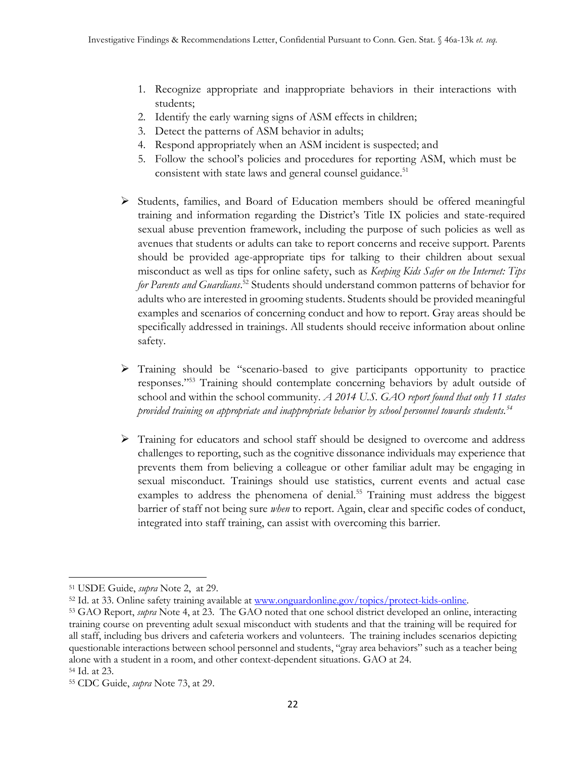- 1. Recognize appropriate and inappropriate behaviors in their interactions with students;
- 2. Identify the early warning signs of ASM effects in children;
- 3. Detect the patterns of ASM behavior in adults;
- 4. Respond appropriately when an ASM incident is suspected; and
- 5. Follow the school's policies and procedures for reporting ASM, which must be consistent with state laws and general counsel guidance.<sup>51</sup>
- ➢ Students, families, and Board of Education members should be offered meaningful training and information regarding the District's Title IX policies and state-required sexual abuse prevention framework, including the purpose of such policies as well as avenues that students or adults can take to report concerns and receive support. Parents should be provided age-appropriate tips for talking to their children about sexual misconduct as well as tips for online safety, such as *Keeping Kids Safer on the Internet: Tips for Parents and Guardians*. <sup>52</sup> Students should understand common patterns of behavior for adults who are interested in grooming students. Students should be provided meaningful examples and scenarios of concerning conduct and how to report. Gray areas should be specifically addressed in trainings. All students should receive information about online safety.
- ➢ Training should be "scenario-based to give participants opportunity to practice responses."<sup>53</sup> Training should contemplate concerning behaviors by adult outside of school and within the school community. *A 2014 U.S. GAO report found that only 11 states provided training on appropriate and inappropriate behavior by school personnel towards students.<sup>54</sup>*
- ➢ Training for educators and school staff should be designed to overcome and address challenges to reporting, such as the cognitive dissonance individuals may experience that prevents them from believing a colleague or other familiar adult may be engaging in sexual misconduct. Trainings should use statistics, current events and actual case examples to address the phenomena of denial.<sup>55</sup> Training must address the biggest barrier of staff not being sure *when* to report. Again, clear and specific codes of conduct, integrated into staff training, can assist with overcoming this barrier.

<sup>51</sup> USDE Guide, *supra* Note 2, at 29.

<sup>52</sup> Id. at 33. Online safety training available at [www.onguardonline.gov/topics/protect-kids-online.](http://www.onguardonline.gov/topics/protect-kids-online)

<sup>53</sup> GAO Report, *supra* Note 4, at 23. The GAO noted that one school district developed an online, interacting training course on preventing adult sexual misconduct with students and that the training will be required for all staff, including bus drivers and cafeteria workers and volunteers. The training includes scenarios depicting questionable interactions between school personnel and students, "gray area behaviors" such as a teacher being alone with a student in a room, and other context-dependent situations. GAO at 24.

<sup>54</sup> Id. at 23.

<sup>55</sup> CDC Guide, *supra* Note 73, at 29.